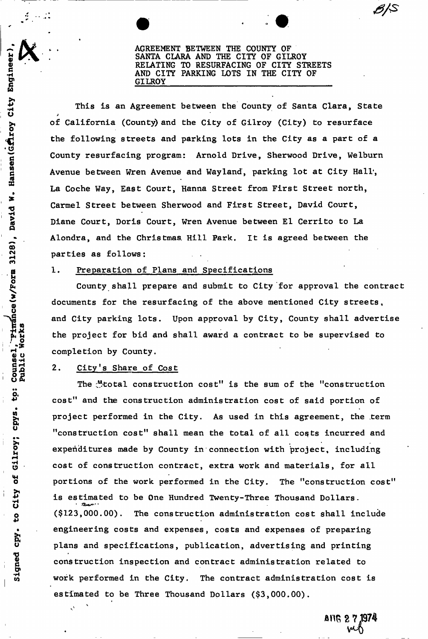AGREEMENT BETWEEN THE COUNTY OF SANTA CLARA AND THE CITY OF GILROY RELATING TO RESURFACING OF CITY STREETS AND CITY PARKING LOTS IN THE CITY OF GILROY

This is an Agreement between the County of Santa Clara, State of California (County) and the City of Gilroy (City) to resurface the following streets and parking lots in the City as a part of a County resurfacing program: Arnold Drive, Sherwood Drive, Welburn Avenue between Wren Avenue and Wayland, parking lot at City Hall, La Coche Way, East Court, Hanna Street from First Street north, Carmel Street between Sherwood and First Street, David Court, Diane Court, Doris Court, Wren Avenue between El Cerrito to La Alondra, and the Christmas. Hill Park. It is agreed between the parties as follows:

#### 1. Preparation of Plans and Specifications

County shall prepare and submit to City for approval the contract documents for the resurfacing of the above mentioned City streets, and City parking lots. Upon approval by City, County shall advertise the project for bid and shall award a contract to be supervised to completion by County.

#### 2. City's Share of Cost

The  $\mathcal{Y}$ total construction cost" is the sum of the "construction cost" and the construction administration cost of said portion of project performed in the City. As used in this agreement, the .term "construction cost" shall mean the total of all costs incurred and expenditures made by County in connection with project, including cost of construction contract, extra work and materials, for all portions of the work performed in the City. The "construction cost" is estimated to be One Hundred Twenty-Three Thousand Dollars. (\$123,000.00). The construction administration cost shall include engineering costs and expenses, costs and expenses of preparing plans and specifications, publication, advertising and printing construction inspection and contract administration related to work performed in the City. The contract administration cost is estimated to be Three Thousand Dollars  $(§3,000.00)$ .

estimated to be Three Thousand Dollars (\$3,000.00).

ANG 2 7.1974 V M)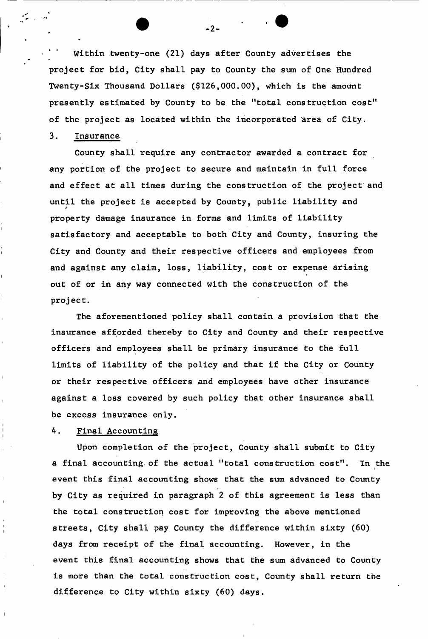Within twenty-one (21) days after County advertises the project for bid, City shall pay to County the sum of One Hundred Twenty-Six Thousand Dollars (\$126,000.00), which is the amount presently estimated by County to be the "total construction cost" of the project as located within the incorporated area of City.

## 3. Insurance

County shall require any contractor awarded a contract for any portion of the project to secure and maintain in full force and effect at all times during the construction of the project and until the project is accepted by County, public liability and property damage insurance in forms and limits of liability satisfactory and acceptable to both City and County, insuring the City and County and their respective officers and employees from and against any claim, loss, liability, cost or expense arising out of or in any way connected with the construction of the project.

The aforementioned policy shall contain a provision that the insurance afforded thereby to City and County and their respective officers and employees shall be primary insurance to the full limits of liability of the policy and that if the City or County or their respective officers and employees have other insurance against a loss covered by such policy that other insurance shall be excess insurance only.

## 4. Final Accounting

Upon completion of the project, County shall submit to City a final accounting of the actual "total construction cost". In the event this final accounting shows that the sum advanced to County by City as required in paragraph 2 of this agreement is less than the total construction cost for improving the above mentioned streets, City shall pay County the difference within sixty (60) days from receipt of the final accounting. However, in the event this final accounting shows that the sum advanced to County is more than the total construction cost, County shall return the difference to City within sixty (60) days.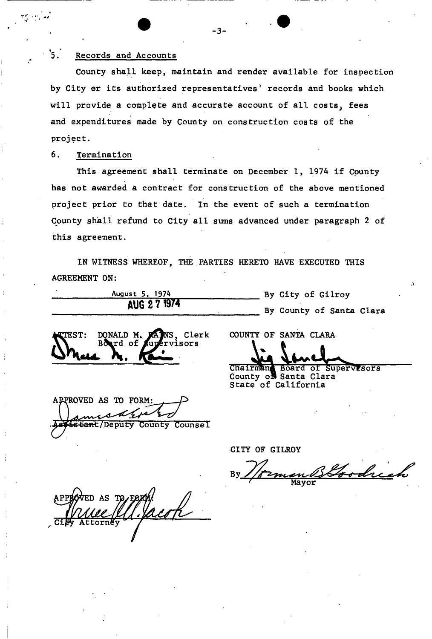### 5. Records and Accounts

County shall keep, maintain and render available for inspection by City or its authorized representatives<sup>'</sup> records and books which will provide a complete and accurate account of all costs, fees and expenditures made by County on construction costs of the project.

## 6. Termination

 $\mathbf{r}$  is a set of  $\mathbf{r}$ 

This agreement shall terminate on December 1, 1974 if Cpunty has not awarded a contract for construction of the above mentioned project prior to that date. In the event of such a termination County shall refund to City all sums advanced under paragraph 2 of this agreement.

IN WITNESS WHEREOF, THE PARTIES HERETO HAVE EXECUTED THIS AGREEMENT ON:

| August 5, 1974 |  |              |
|----------------|--|--------------|
|                |  | AUG 2 7 1974 |

By City of Gilroy By County of Santa Clara

TEST: DONALD M. rd of  $\epsilon$ <u>Dhue T</u> NS Clerk risors

COUNTY OF SANTA CLARA

Board of Supervrsors County o**n** Santa Clara Chairman State of California

APPROVED AS TO FORM: istant/Deputy County Counsel

CITY OF GILROY

BGoodrich

VED AS TC

3-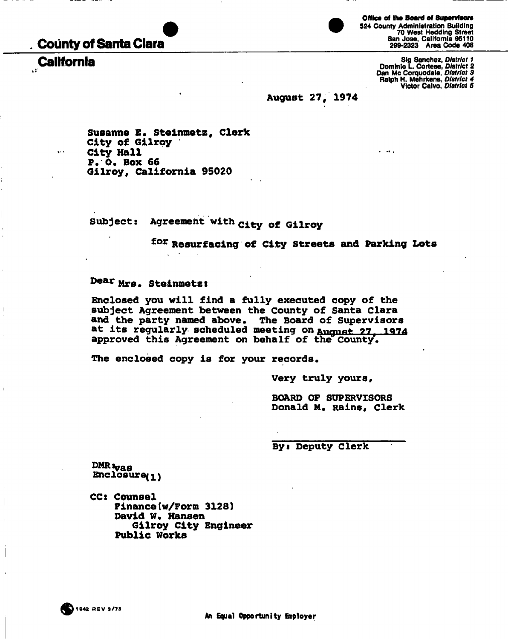# **County of Santa Clara**

 $\cdots$ 



**Office of the Board of Supervisors**  524 County Administration Building 70 West Hedding Street San Jose, California 95110 299-2323 Area Code 408

Sig Sanchez, *District 1*<br>Bominic L. Cortese, *District 2*<br>Dan Mc Corquodale, *District 3*<br>Ralph H. Mehrkens, *District 4*<br>Victor Calvo, *District 5* 

 $\ddotsc$ 

**August 27, 1974** 

**Susanna E. steinmetz, clerk City of Gllroy City Hall P. 0. Box 66 Gllroy, California 95020** 

Subject: Agreement with City of Gilroy

**f o <sup>r</sup> Resurfacing of City Streets and Parking Lots** 

# **Dear Mrs. Steinmetzt**

**Enclosed you will find a fully executed copy of the subject Agreement between the County of Santa Clara and the party named above. The Board of Supervisors**  at its regularly scheduled meeting on **August 27, 1974 approved this Agreement on behalf of the County.** 

**The enclosed copy is for your records.** 

**Very truly yours,** 

**BOARD OF SUPERVISORS Donald M. Rains, Clerk** 

**Byi Deputy Clerk** 

**DMR vas**<br>Enclosure<sub>(1)</sub>

**CCs Counsel Finance(w/Form 3128) David W. Hansen Gllroy City Engineer Public Works**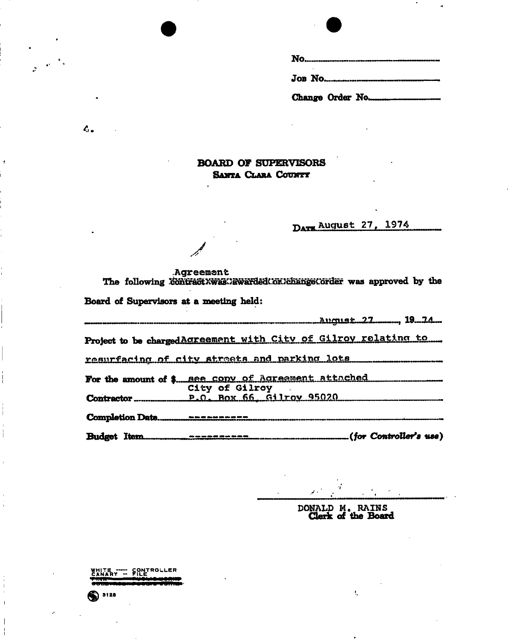### **BOARD OF SUPERVISORS SANTA CLARA COUNTY**

DATE August 27, 1974

Agreement

The following contractXwas.VawardedCoxVchangeCorder was approved by the

Board of Supervisors at a meeting held:

 $\mathcal{A}$ 

 $c_{\cdot}$ 

|                                | Project to be charged Agreement with City of Gilroy relating to |                        |
|--------------------------------|-----------------------------------------------------------------|------------------------|
|                                | resurfacing of city streets and parking lots                    |                        |
|                                | For the amount of \$ see copy of Agreement attached             |                        |
|                                | City of Gilroy                                                  |                        |
|                                |                                                                 |                        |
| <b>Rudowt</b> T <del>iam</del> | ----------                                                      | (for Controller's use) |

ŧ,

DONALD M. RAINS<br>Clerk of the Board

WHITE ---- CONTROLLER  $<sup>3128</sup>$ </sup>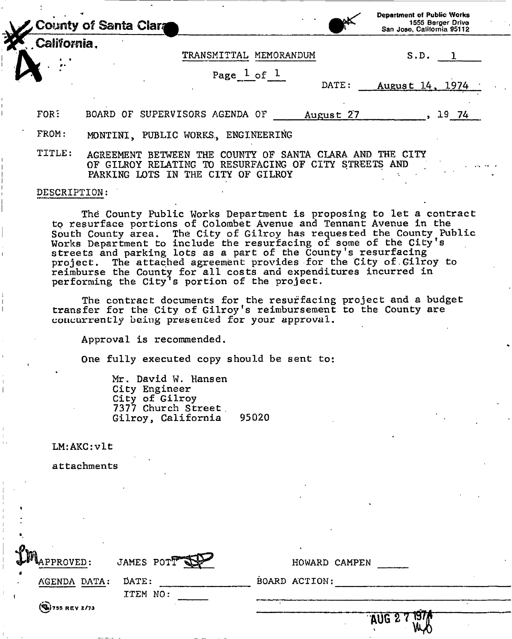| County of Santa Clara |                        | <b>Department of Public Works</b><br>1555 Berger Drive<br>San Jose, California 95112 |
|-----------------------|------------------------|--------------------------------------------------------------------------------------|
| California.           |                        |                                                                                      |
|                       | TRANSMITTAL MEMORANDUM | S.D                                                                                  |

 $\texttt{Page\_l\_of\_l}$ 

DATE: August 14, 1974

FOR: BOARD OF SUPERVISORS AGENDA OF August 27 , 19 74

FROM: MONTINI, PUBLIC WORKS, ENGINEERING

TITLE: AGREEMENT BETWEEN THE COUNTY OF SANTA CLARA AND THE CITY OF GILROY RELATING TO RESURFACING OF CITY STREETS AND PARKING LOTS IN THE CITY OF GILROY

#### DESCRIPTION:

The County Public Works Department is proposing to let a contract to resurface portions of Colombet Avenue and Tennant Avenue in the South County area. The City of Gilroy has requested the County Public Works Department to include the resurfacing of some of the City's streets and parking lots as a part of the County's resurfacing project. The attached agreement provides for the City of.Gilroy to reimburse the County for all costs and expenditures incurred in performing the City's portion of the project.

The contract documents for the resurfacing project and a budget transfer for the City of Gilroy's reimbursement to the County are concurrently being presented for your approval.

Approval is recommended.

One fully executed copy should be sent to:

Mr. David W. Hansen City Engineer City of Gilroy 7377 Church Street<br>Gilroy, California 95020 Gilroy, California

LM: AKC:vlt

»

attachments

| MAPPROVED:                 | JAMES POTT        | HOWARD CAMPEN          |
|----------------------------|-------------------|------------------------|
| AGENDA DATA:               | DATE:<br>ITEM NO: | BOARD ACTION:          |
| $\mathbb{Q}$ )755 REV 2/73 |                   | AUG 27<br>$\mathbf{S}$ |